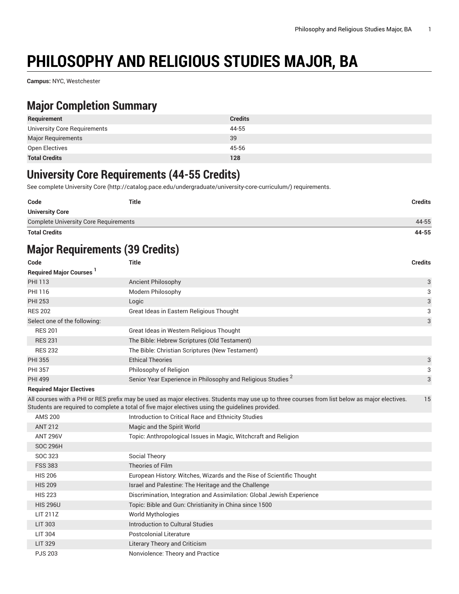# **PHILOSOPHY AND RELIGIOUS STUDIES MAJOR, BA**

**Campus:** NYC, Westchester

### **Major Completion Summary**

| Requirement                  | <b>Credits</b> |
|------------------------------|----------------|
| University Core Requirements | 44-55          |
| <b>Major Requirements</b>    | 39             |
| Open Electives               | 45-56          |
| <b>Total Credits</b>         | 128            |

#### **University Core Requirements (44-55 Credits)**

See complete [University](http://catalog.pace.edu/undergraduate/university-core-curriculum/) Core (<http://catalog.pace.edu/undergraduate/university-core-curriculum/>) requirements.

| Code                                         | <b>Title</b> | <b>Credits</b> |
|----------------------------------------------|--------------|----------------|
| <b>University Core</b>                       |              |                |
| <b>Complete University Core Requirements</b> |              | 44-55          |
| <b>Total Credits</b>                         |              | 44-55          |

## **Major Requirements (39 Credits)**

| Code                                | <b>Title</b>                                                                                                                                                                                                                                      | <b>Credits</b> |
|-------------------------------------|---------------------------------------------------------------------------------------------------------------------------------------------------------------------------------------------------------------------------------------------------|----------------|
| Required Major Courses <sup>1</sup> |                                                                                                                                                                                                                                                   |                |
| <b>PHI 113</b>                      | <b>Ancient Philosophy</b>                                                                                                                                                                                                                         | 3              |
| PHI 116                             | Modern Philosophy                                                                                                                                                                                                                                 | 3              |
| <b>PHI 253</b>                      | Logic                                                                                                                                                                                                                                             | 3              |
| <b>RES 202</b>                      | Great Ideas in Eastern Religious Thought                                                                                                                                                                                                          | 3              |
| Select one of the following:        |                                                                                                                                                                                                                                                   | 3              |
| <b>RES 201</b>                      | Great Ideas in Western Religious Thought                                                                                                                                                                                                          |                |
| <b>RES 231</b>                      | The Bible: Hebrew Scriptures (Old Testament)                                                                                                                                                                                                      |                |
| <b>RES 232</b>                      | The Bible: Christian Scriptures (New Testament)                                                                                                                                                                                                   |                |
| <b>PHI 355</b>                      | <b>Ethical Theories</b>                                                                                                                                                                                                                           | 3              |
| <b>PHI 357</b>                      | Philosophy of Religion                                                                                                                                                                                                                            | 3              |
| <b>PHI 499</b>                      | Senior Year Experience in Philosophy and Religious Studies <sup>2</sup>                                                                                                                                                                           | 3              |
| <b>Required Major Electives</b>     |                                                                                                                                                                                                                                                   |                |
|                                     | All courses with a PHI or RES prefix may be used as major electives. Students may use up to three courses from list below as major electives.<br>Students are required to complete a total of five major electives using the guidelines provided. | 15             |
| <b>AMS 200</b>                      | Introduction to Critical Race and Ethnicity Studies                                                                                                                                                                                               |                |
| <b>ANT 212</b>                      | Magic and the Spirit World                                                                                                                                                                                                                        |                |
| <b>ANT 296V</b>                     | Topic: Anthropological Issues in Magic, Witchcraft and Religion                                                                                                                                                                                   |                |
| <b>SOC 296H</b>                     |                                                                                                                                                                                                                                                   |                |
| SOC 323                             | Social Theory                                                                                                                                                                                                                                     |                |
| <b>FSS 383</b>                      | Theories of Film                                                                                                                                                                                                                                  |                |
| <b>HIS 206</b>                      | European History: Witches, Wizards and the Rise of Scientific Thought                                                                                                                                                                             |                |
| <b>HIS 209</b>                      | Israel and Palestine: The Heritage and the Challenge                                                                                                                                                                                              |                |
| <b>HIS 223</b>                      | Discrimination, Integration and Assimilation: Global Jewish Experience                                                                                                                                                                            |                |
| <b>HIS 296U</b>                     | Topic: Bible and Gun: Christianity in China since 1500                                                                                                                                                                                            |                |
| LIT 211Z                            | World Mythologies                                                                                                                                                                                                                                 |                |
| <b>LIT 303</b>                      | Introduction to Cultural Studies                                                                                                                                                                                                                  |                |
| <b>LIT 304</b>                      | <b>Postcolonial Literature</b>                                                                                                                                                                                                                    |                |
| <b>LIT 329</b>                      | <b>Literary Theory and Criticism</b>                                                                                                                                                                                                              |                |
| <b>PJS 203</b>                      | Nonviolence: Theory and Practice                                                                                                                                                                                                                  |                |
|                                     |                                                                                                                                                                                                                                                   |                |